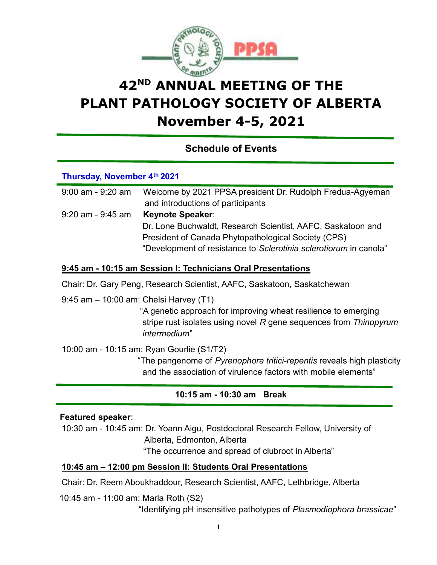

# 42<sup>ND</sup> ANNUAL MEETING OF THE PLANT PATHOLOGY SOCIETY OF ALBERTA November 4-5, 2021

Schedule of Events

## Thursday, November 4th 2021

| $9:00$ am - $9:20$ am | Welcome by 2021 PPSA president Dr. Rudolph Fredua-Agyeman         |
|-----------------------|-------------------------------------------------------------------|
|                       | and introductions of participants                                 |
| $9:20$ am - $9:45$ am | <b>Keynote Speaker:</b>                                           |
|                       | Dr. Lone Buchwaldt, Research Scientist, AAFC, Saskatoon and       |
|                       | President of Canada Phytopathological Society (CPS)               |
|                       | "Development of resistance to Sclerotinia sclerotiorum in canola" |

## 9:45 am - 10:15 am Session I: Technicians Oral Presentations

Chair: Dr. Gary Peng, Research Scientist, AAFC, Saskatoon, Saskatchewan

9:45 am – 10:00 am: Chelsi Harvey (T1)

 "A genetic approach for improving wheat resilience to emerging stripe rust isolates using novel R gene sequences from Thinopyrum intermedium"

10:00 am - 10:15 am: Ryan Gourlie (S1/T2)

 "The pangenome of Pyrenophora tritici-repentis reveals high plasticity and the association of virulence factors with mobile elements"

# 10:15 am - 10:30 am Break

## Featured speaker:

10:30 am - 10:45 am: Dr. Yoann Aigu, Postdoctoral Research Fellow, University of Alberta, Edmonton, Alberta

"The occurrence and spread of clubroot in Alberta"

## 10:45 am – 12:00 pm Session II: Students Oral Presentations

Chair: Dr. Reem Aboukhaddour, Research Scientist, AAFC, Lethbridge, Alberta

10:45 am - 11:00 am: Marla Roth (S2)

"Identifying pH insensitive pathotypes of Plasmodiophora brassicae"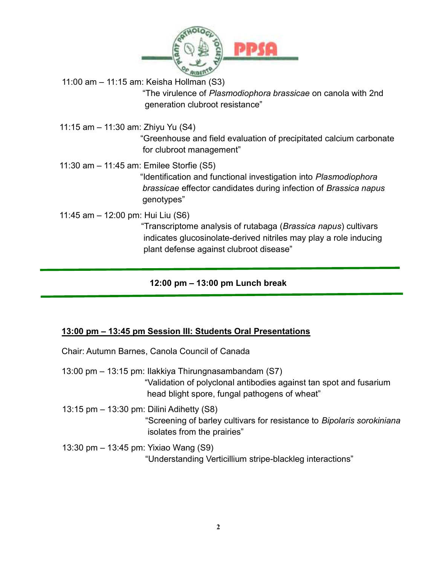

11:00 am – 11:15 am: Keisha Hollman (S3)

 "The virulence of Plasmodiophora brassicae on canola with 2nd generation clubroot resistance"

11:15 am – 11:30 am: Zhiyu Yu (S4) "Greenhouse and field evaluation of precipitated calcium carbonate for clubroot management"

11:30 am – 11:45 am: Emilee Storfie (S5)

 "Identification and functional investigation into Plasmodiophora brassicae effector candidates during infection of Brassica napus genotypes"

11:45 am – 12:00 pm: Hui Liu (S6)

"Transcriptome analysis of rutabaga (Brassica napus) cultivars indicates glucosinolate-derived nitriles may play a role inducing plant defense against clubroot disease"

## 12:00 pm – 13:00 pm Lunch break

# 13:00 pm – 13:45 pm Session III: Students Oral Presentations

Chair: Autumn Barnes, Canola Council of Canada

- 13:00 pm 13:15 pm: Ilakkiya Thirungnasambandam (S7) "Validation of polyclonal antibodies against tan spot and fusarium head blight spore, fungal pathogens of wheat"
- 13:15 pm 13:30 pm: Dilini Adihetty (S8) "Screening of barley cultivars for resistance to Bipolaris sorokiniana isolates from the prairies"
- 13:30 pm 13:45 pm: Yixiao Wang (S9) "Understanding Verticillium stripe-blackleg interactions"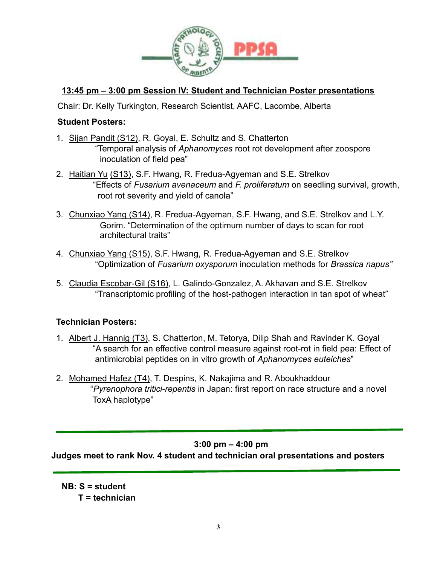

# 13:45 pm – 3:00 pm Session IV: Student and Technician Poster presentations

Chair: Dr. Kelly Turkington, Research Scientist, AAFC, Lacombe, Alberta

#### Student Posters:

- 1. Sijan Pandit (S12), R. Goyal, E. Schultz and S. Chatterton "Temporal analysis of Aphanomyces root rot development after zoospore inoculation of field pea"
- 2. Haitian Yu (S13), S.F. Hwang, R. Fredua-Agyeman and S.E. Strelkov "Effects of Fusarium avenaceum and F. proliferatum on seedling survival, growth, root rot severity and yield of canola"
- 3. Chunxiao Yang (S14), R. Fredua-Agyeman, S.F. Hwang, and S.E. Strelkov and L.Y. Gorim. "Determination of the optimum number of days to scan for root architectural traits"
- 4. Chunxiao Yang (S15), S.F. Hwang, R. Fredua-Agyeman and S.E. Strelkov "Optimization of Fusarium oxysporum inoculation methods for Brassica napus"
- 5. Claudia Escobar-Gil (S16), L. Galindo-Gonzalez, A. Akhavan and S.E. Strelkov "Transcriptomic profiling of the host-pathogen interaction in tan spot of wheat"

## Technician Posters:

- 1. Albert J. Hannig (T3), S. Chatterton, M. Tetorya, Dilip Shah and Ravinder K. Goyal "A search for an effective control measure against root-rot in field pea: Effect of antimicrobial peptides on in vitro growth of Aphanomyces euteiches"
- 2. Mohamed Hafez (T4), T. Despins, K. Nakajima and R. Aboukhaddour "Pyrenophora tritici-repentis in Japan: first report on race structure and a novel ToxA haplotype"

## 3:00 pm – 4:00 pm

Judges meet to rank Nov. 4 student and technician oral presentations and posters

NB: S = student  $T = 1$  technician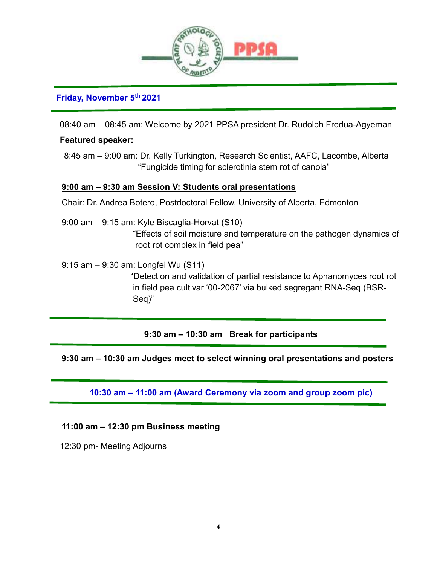

## Friday, November 5th 2021

08:40 am – 08:45 am: Welcome by 2021 PPSA president Dr. Rudolph Fredua-Agyeman

## Featured speaker:

I.

8:45 am – 9:00 am: Dr. Kelly Turkington, Research Scientist, AAFC, Lacombe, Alberta "Fungicide timing for sclerotinia stem rot of canola"

## 9:00 am – 9:30 am Session V: Students oral presentations

Chair: Dr. Andrea Botero, Postdoctoral Fellow, University of Alberta, Edmonton

9:00 am – 9:15 am: Kyle Biscaglia-Horvat (S10) "Effects of soil moisture and temperature on the pathogen dynamics of root rot complex in field pea"

9:15 am – 9:30 am: Longfei Wu (S11)

 "Detection and validation of partial resistance to Aphanomyces root rot in field pea cultivar '00-2067' via bulked segregant RNA-Seq (BSR- Seq)"

9:30 am – 10:30 am Break for participants

# 9:30 am – 10:30 am Judges meet to select winning oral presentations and posters

10:30 am – 11:00 am (Award Ceremony via zoom and group zoom pic)

## 11:00 am – 12:30 pm Business meeting

12:30 pm- Meeting Adjourns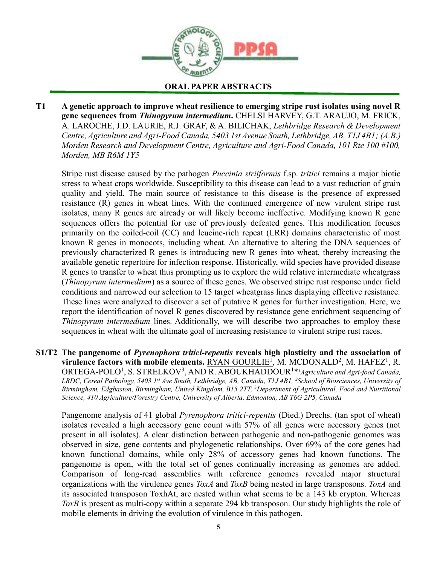

ORAL PAPER ABSTRACTS

T1 A genetic approach to improve wheat resilience to emerging stripe rust isolates using novel R gene sequences from Thinopyrum intermedium. CHELSI HARVEY, G.T. ARAUJO, M. FRICK, A. LAROCHE, J.D. LAURIE, R.J. GRAF, & A. BILICHAK, Lethbridge Research & Development Centre, Agriculture and Agri-Food Canada, 5403 1st Avenue South, Lethbridge, AB, T1J 4B1; (A.B.) Morden Research and Development Centre, Agriculture and Agri-Food Canada, 101 Rte 100 #100, Morden, MB R6M 1Y5

Stripe rust disease caused by the pathogen Puccinia striiformis f.sp. tritici remains a major biotic stress to wheat crops worldwide. Susceptibility to this disease can lead to a vast reduction of grain quality and yield. The main source of resistance to this disease is the presence of expressed resistance (R) genes in wheat lines. With the continued emergence of new virulent stripe rust isolates, many R genes are already or will likely become ineffective. Modifying known R gene sequences offers the potential for use of previously defeated genes. This modification focuses primarily on the coiled-coil (CC) and leucine-rich repeat (LRR) domains characteristic of most known R genes in monocots, including wheat. An alternative to altering the DNA sequences of previously characterized R genes is introducing new R genes into wheat, thereby increasing the available genetic repertoire for infection response. Historically, wild species have provided disease R genes to transfer to wheat thus prompting us to explore the wild relative intermediate wheatgrass (Thinopyrum intermedium) as a source of these genes. We observed stripe rust response under field conditions and narrowed our selection to 15 target wheatgrass lines displaying effective resistance. These lines were analyzed to discover a set of putative R genes for further investigation. Here, we report the identification of novel R genes discovered by resistance gene enrichment sequencing of Thinopyrum intermedium lines. Additionally, we will describe two approaches to employ these sequences in wheat with the ultimate goal of increasing resistance to virulent stripe rust races.

S1/T2 The pangenome of Pyrenophora tritici-repentis reveals high plasticity and the association of virulence factors with mobile elements.  $\overline{RYAN GOURLIE}^1$ , M. MCDONALD<sup>2</sup>, M. HAFEZ<sup>1</sup>, R. ORTEGA-POLO<sup>1</sup>, S. STRELKOV<sup>3</sup>, AND R. ABOUKHADDOUR<sup>1\**I*</sup> Agriculture and Agri-food Canada, LRDC, Cereal Pathology, 5403 1st Ave South, Lethbridge, AB, Canada, T1J 4B1, <sup>2</sup>School of Biosciences, University of Birmingham, Edgbaston, Birmingham, United Kingdom, B15 2TT, <sup>3</sup>Department of Agricultural, Food and Nutritional Science, 410 Agriculture/Forestry Centre, University of Alberta, Edmonton, AB T6G 2P5, Canada

Pangenome analysis of 41 global *Pyrenophora tritici-repentis* (Died.) Drechs. (tan spot of wheat) isolates revealed a high accessory gene count with 57% of all genes were accessory genes (not present in all isolates). A clear distinction between pathogenic and non-pathogenic genomes was observed in size, gene contents and phylogenetic relationships. Over 69% of the core genes had known functional domains, while only 28% of accessory genes had known functions. The pangenome is open, with the total set of genes continually increasing as genomes are added. Comparison of long-read assemblies with reference genomes revealed major structural organizations with the virulence genes ToxA and ToxB being nested in large transposons. ToxA and its associated transposon ToxhAt, are nested within what seems to be a 143 kb crypton. Whereas ToxB is present as multi-copy within a separate 294 kb transposon. Our study highlights the role of mobile elements in driving the evolution of virulence in this pathogen.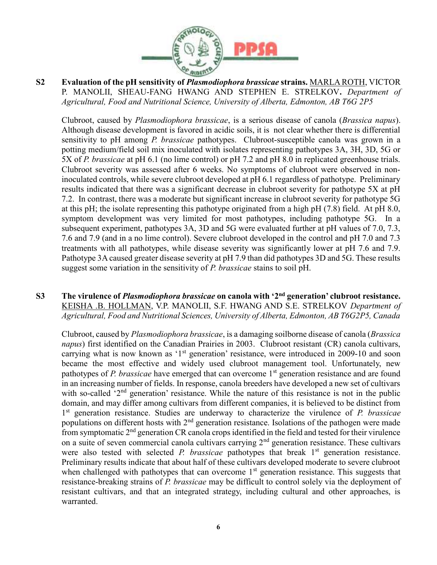

S2 Evaluation of the pH sensitivity of *Plasmodiophora brassicae* strains. MARLA ROTH, VICTOR P. MANOLII, SHEAU-FANG HWANG AND STEPHEN E. STRELKOV. Department of Agricultural, Food and Nutritional Science, University of Alberta, Edmonton, AB T6G 2P5

Clubroot, caused by Plasmodiophora brassicae, is a serious disease of canola (Brassica napus). Although disease development is favored in acidic soils, it is not clear whether there is differential sensitivity to pH among P. brassicae pathotypes. Clubroot-susceptible canola was grown in a potting medium/field soil mix inoculated with isolates representing pathotypes 3A, 3H, 3D, 5G or 5X of P. brassicae at pH 6.1 (no lime control) or pH 7.2 and pH 8.0 in replicated greenhouse trials. Clubroot severity was assessed after 6 weeks. No symptoms of clubroot were observed in noninoculated controls, while severe clubroot developed at pH 6.1 regardless of pathotype. Preliminary results indicated that there was a significant decrease in clubroot severity for pathotype 5X at pH 7.2. In contrast, there was a moderate but significant increase in clubroot severity for pathotype 5G at this pH; the isolate representing this pathotype originated from a high pH (7.8) field. At pH 8.0, symptom development was very limited for most pathotypes, including pathotype 5G. In a subsequent experiment, pathotypes 3A, 3D and 5G were evaluated further at pH values of 7.0, 7.3, 7.6 and 7.9 (and in a no lime control). Severe clubroot developed in the control and pH 7.0 and 7.3 treatments with all pathotypes, while disease severity was significantly lower at pH 7.6 and 7.9. Pathotype 3A caused greater disease severity at pH 7.9 than did pathotypes 3D and 5G. These results suggest some variation in the sensitivity of P. brassicae stains to soil pH.

S3 The virulence of *Plasmodiophora brassicae* on canola with '2<sup>nd</sup> generation' clubroot resistance. KEISHA .B. HOLLMAN, V.P. MANOLII, S.F. HWANG AND S.E. STRELKOV Department of Agricultural, Food and Nutritional Sciences, University of Alberta, Edmonton, AB T6G2P5, Canada

Clubroot, caused by Plasmodiophora brassicae, is a damaging soilborne disease of canola (Brassica napus) first identified on the Canadian Prairies in 2003. Clubroot resistant (CR) canola cultivars, carrying what is now known as '1<sup>st</sup> generation' resistance, were introduced in 2009-10 and soon became the most effective and widely used clubroot management tool. Unfortunately, new pathotypes of P. brassicae have emerged that can overcome  $1<sup>st</sup>$  generation resistance and are found in an increasing number of fields. In response, canola breeders have developed a new set of cultivars with so-called '2<sup>nd</sup> generation' resistance. While the nature of this resistance is not in the public domain, and may differ among cultivars from different companies, it is believed to be distinct from 1<sup>st</sup> generation resistance. Studies are underway to characterize the virulence of P. brassicae populations on different hosts with  $2<sup>nd</sup>$  generation resistance. Isolations of the pathogen were made from symptomatic  $2<sup>nd</sup>$  generation CR canola crops identified in the field and tested for their virulence on a suite of seven commercial canola cultivars carrying 2<sup>nd</sup> generation resistance. These cultivars were also tested with selected *P. brassicae* pathotypes that break  $1<sup>st</sup>$  generation resistance. Preliminary results indicate that about half of these cultivars developed moderate to severe clubroot when challenged with pathotypes that can overcome  $1<sup>st</sup>$  generation resistance. This suggests that resistance-breaking strains of P. brassicae may be difficult to control solely via the deployment of resistant cultivars, and that an integrated strategy, including cultural and other approaches, is warranted.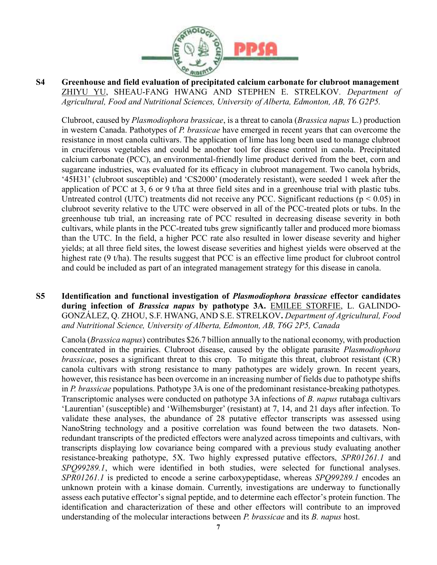

S4 Greenhouse and field evaluation of precipitated calcium carbonate for clubroot management ZHIYU YU, SHEAU-FANG HWANG AND STEPHEN E. STRELKOV. Department of Agricultural, Food and Nutritional Sciences, University of Alberta, Edmonton, AB, T6 G2P5.

Clubroot, caused by Plasmodiophora brassicae, is a threat to canola (Brassica napus L.) production in western Canada. Pathotypes of P. brassicae have emerged in recent years that can overcome the resistance in most canola cultivars. The application of lime has long been used to manage clubroot in cruciferous vegetables and could be another tool for disease control in canola. Precipitated calcium carbonate (PCC), an environmental-friendly lime product derived from the beet, corn and sugarcane industries, was evaluated for its efficacy in clubroot management. Two canola hybrids, '45H31' (clubroot susceptible) and 'CS2000' (moderately resistant), were seeded 1 week after the application of PCC at 3, 6 or 9 t/ha at three field sites and in a greenhouse trial with plastic tubs. Untreated control (UTC) treatments did not receive any PCC. Significant reductions ( $p < 0.05$ ) in clubroot severity relative to the UTC were observed in all of the PCC-treated plots or tubs. In the greenhouse tub trial, an increasing rate of PCC resulted in decreasing disease severity in both cultivars, while plants in the PCC-treated tubs grew significantly taller and produced more biomass than the UTC. In the field, a higher PCC rate also resulted in lower disease severity and higher yields; at all three field sites, the lowest disease severities and highest yields were observed at the highest rate (9 t/ha). The results suggest that PCC is an effective lime product for clubroot control and could be included as part of an integrated management strategy for this disease in canola.

S5 Identification and functional investigation of Plasmodiophora brassicae effector candidates during infection of *Brassica napus* by pathotype 3A. EMILEE STORFIE, L. GALINDO-GONZÁLEZ, Q. ZHOU, S.F. HWANG, AND S.E. STRELKOV. Department of Agricultural, Food and Nutritional Science, University of Alberta, Edmonton, AB, T6G 2P5, Canada

Canola (Brassica napus) contributes \$26.7 billion annually to the national economy, with production concentrated in the prairies. Clubroot disease, caused by the obligate parasite Plasmodiophora brassicae, poses a significant threat to this crop. To mitigate this threat, clubroot resistant (CR) canola cultivars with strong resistance to many pathotypes are widely grown. In recent years, however, this resistance has been overcome in an increasing number of fields due to pathotype shifts in P. brassicae populations. Pathotype 3A is one of the predominant resistance-breaking pathotypes. Transcriptomic analyses were conducted on pathotype 3A infections of B. napus rutabaga cultivars 'Laurentian' (susceptible) and 'Wilhemsburger' (resistant) at 7, 14, and 21 days after infection. To validate these analyses, the abundance of 28 putative effector transcripts was assessed using NanoString technology and a positive correlation was found between the two datasets. Nonredundant transcripts of the predicted effectors were analyzed across timepoints and cultivars, with transcripts displaying low covariance being compared with a previous study evaluating another resistance-breaking pathotype, 5X. Two highly expressed putative effectors, SPR01261.1 and SPO99289.1, which were identified in both studies, were selected for functional analyses. SPR01261.1 is predicted to encode a serine carboxypeptidase, whereas SPO99289.1 encodes an unknown protein with a kinase domain. Currently, investigations are underway to functionally assess each putative effector's signal peptide, and to determine each effector's protein function. The identification and characterization of these and other effectors will contribute to an improved understanding of the molecular interactions between *P. brassicae* and its *B. napus* host.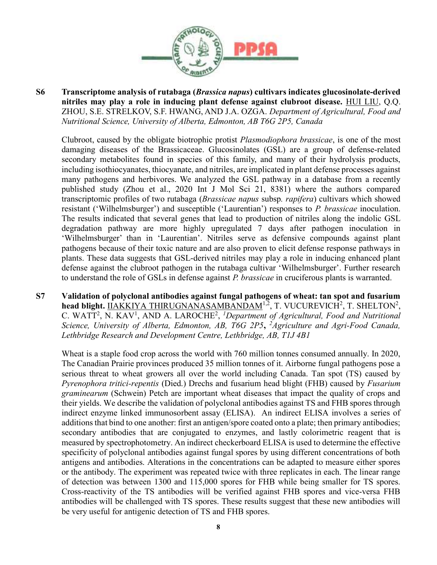

S6 Transcriptome analysis of rutabaga (Brassica napus) cultivars indicates glucosinolate-derived nitriles may play a role in inducing plant defense against clubroot disease. HUI LIU, Q.Q. ZHOU, S.E. STRELKOV, S.F. HWANG, AND J.A. OZGA. Department of Agricultural, Food and Nutritional Science, University of Alberta, Edmonton, AB T6G 2P5, Canada

Clubroot, caused by the obligate biotrophic protist Plasmodiophora brassicae, is one of the most damaging diseases of the Brassicaceae. Glucosinolates (GSL) are a group of defense-related secondary metabolites found in species of this family, and many of their hydrolysis products, including isothiocyanates, thiocyanate, and nitriles, are implicated in plant defense processes against many pathogens and herbivores. We analyzed the GSL pathway in a database from a recently published study (Zhou et al., 2020 Int J Mol Sci 21, 8381) where the authors compared transcriptomic profiles of two rutabaga (Brassicae napus subsp. rapifera) cultivars which showed resistant ('Wilhelmsburger') and susceptible ('Laurentian') responses to P. brassicae inoculation. The results indicated that several genes that lead to production of nitriles along the indolic GSL degradation pathway are more highly upregulated 7 days after pathogen inoculation in 'Wilhelmsburger' than in 'Laurentian'. Nitriles serve as defensive compounds against plant pathogens because of their toxic nature and are also proven to elicit defense response pathways in plants. These data suggests that GSL-derived nitriles may play a role in inducing enhanced plant defense against the clubroot pathogen in the rutabaga cultivar 'Wilhelmsburger'. Further research to understand the role of GSLs in defense against P. brassicae in cruciferous plants is warranted.

S7 Validation of polyclonal antibodies against fungal pathogens of wheat: tan spot and fusarium head blight. **IIAKKIYA THIRUGNANASAMBANDAM<sup>1,2</sup>, T. VUCUREVICH<sup>2</sup>, T. SHELTON<sup>2</sup>,** C. WATT<sup>2</sup>, N. KAV<sup>1</sup>, AND A. LAROCHE<sup>2</sup>, <sup>1</sup>Department of Agricultural, Food and Nutritional Science, University of Alberta, Edmonton, AB, T6G 2P5, <sup>2</sup>Agriculture and Agri-Food Canada, Lethbridge Research and Development Centre, Lethbridge, AB, T1J 4B1

Wheat is a staple food crop across the world with 760 million tonnes consumed annually. In 2020, The Canadian Prairie provinces produced 35 million tonnes of it. Airborne fungal pathogens pose a serious threat to wheat growers all over the world including Canada. Tan spot (TS) caused by Pyrenophora tritici-repentis (Died.) Drechs and fusarium head blight (FHB) caused by Fusarium graminearum (Schwein) Petch are important wheat diseases that impact the quality of crops and their yields. We describe the validation of polyclonal antibodies against TS and FHB spores through indirect enzyme linked immunosorbent assay (ELISA). An indirect ELISA involves a series of additions that bind to one another: first an antigen/spore coated onto a plate; then primary antibodies; secondary antibodies that are conjugated to enzymes, and lastly colorimetric reagent that is measured by spectrophotometry. An indirect checkerboard ELISA is used to determine the effective specificity of polyclonal antibodies against fungal spores by using different concentrations of both antigens and antibodies. Alterations in the concentrations can be adapted to measure either spores or the antibody. The experiment was repeated twice with three replicates in each. The linear range of detection was between 1300 and 115,000 spores for FHB while being smaller for TS spores. Cross-reactivity of the TS antibodies will be verified against FHB spores and vice-versa FHB antibodies will be challenged with TS spores. These results suggest that these new antibodies will be very useful for antigenic detection of TS and FHB spores.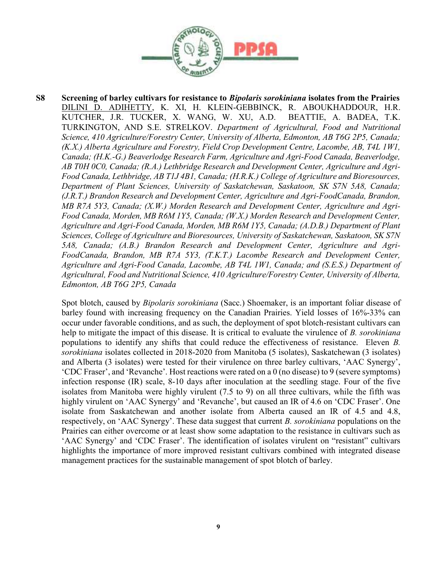

S8 Screening of barley cultivars for resistance to *Bipolaris sorokiniana* isolates from the Prairies DILINI D. ADIHETTY, K. XI, H. KLEIN-GEBBINCK, R. ABOUKHADDOUR, H.R. KUTCHER, J.R. TUCKER, X. WANG, W. XU, A.D. BEATTIE, A. BADEA, T.K. TURKINGTON, AND S.E. STRELKOV. Department of Agricultural, Food and Nutritional Science, 410 Agriculture/Forestry Center, University of Alberta, Edmonton, AB T6G 2P5, Canada; (K.X.) Alberta Agriculture and Forestry, Field Crop Development Centre, Lacombe, AB, T4L 1W1, Canada; (H.K.-G.) Beaverlodge Research Farm, Agriculture and Agri-Food Canada, Beaverlodge, AB T0H 0C0, Canada; (R.A.) Lethbridge Research and Development Center, Agriculture and Agri-Food Canada, Lethbridge, AB T1J 4B1, Canada; (H.R.K.) College of Agriculture and Bioresources, Department of Plant Sciences, University of Saskatchewan, Saskatoon, SK S7N 5A8, Canada; (J.R.T.) Brandon Research and Development Center, Agriculture and Agri-FoodCanada, Brandon, MB R7A 5Y3, Canada; (X.W.) Morden Research and Development Center, Agriculture and Agri-Food Canada, Morden, MB R6M 1Y5, Canada; (W.X.) Morden Research and Development Center, Agriculture and Agri-Food Canada, Morden, MB R6M 1Y5, Canada; (A.D.B.) Department of Plant Sciences, College of Agriculture and Bioresources, University of Saskatchewan, Saskatoon, SK S7N 5A8, Canada; (A.B.) Brandon Research and Development Center, Agriculture and Agri-FoodCanada, Brandon, MB R7A 5Y3, (T.K.T.) Lacombe Research and Development Center, Agriculture and Agri-Food Canada, Lacombe, AB T4L 1W1, Canada; and (S.E.S.) Department of Agricultural, Food and Nutritional Science, 410 Agriculture/Forestry Center, University of Alberta, Edmonton, AB T6G 2P5, Canada

Spot blotch, caused by Bipolaris sorokiniana (Sacc.) Shoemaker, is an important foliar disease of barley found with increasing frequency on the Canadian Prairies. Yield losses of 16%-33% can occur under favorable conditions, and as such, the deployment of spot blotch-resistant cultivars can help to mitigate the impact of this disease. It is critical to evaluate the virulence of B. sorokiniana populations to identify any shifts that could reduce the effectiveness of resistance. Eleven B. sorokiniana isolates collected in 2018-2020 from Manitoba (5 isolates), Saskatchewan (3 isolates) and Alberta (3 isolates) were tested for their virulence on three barley cultivars, 'AAC Synergy', 'CDC Fraser', and 'Revanche'. Host reactions were rated on a 0 (no disease) to 9 (severe symptoms) infection response (IR) scale, 8-10 days after inoculation at the seedling stage. Four of the five isolates from Manitoba were highly virulent (7.5 to 9) on all three cultivars, while the fifth was highly virulent on 'AAC Synergy' and 'Revanche', but caused an IR of 4.6 on 'CDC Fraser'. One isolate from Saskatchewan and another isolate from Alberta caused an IR of 4.5 and 4.8, respectively, on 'AAC Synergy'. These data suggest that current B. sorokiniana populations on the Prairies can either overcome or at least show some adaptation to the resistance in cultivars such as 'AAC Synergy' and 'CDC Fraser'. The identification of isolates virulent on "resistant" cultivars highlights the importance of more improved resistant cultivars combined with integrated disease management practices for the sustainable management of spot blotch of barley.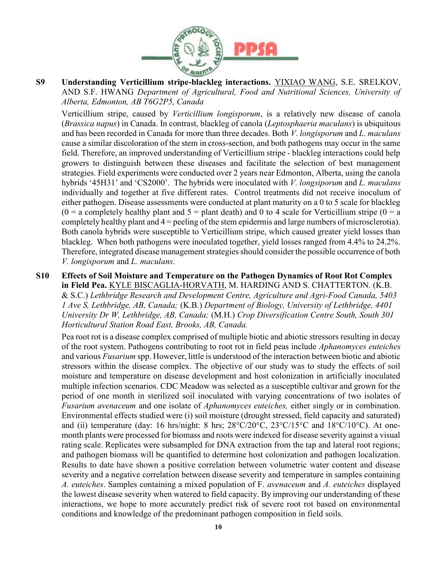

S9 Understanding Verticillium stripe-blackleg interactions. YIXIAO WANG, S.E. SRELKOV, AND S.F. HWANG Department of Agricultural, Food and Nutritional Sciences, University of Alberta, Edmonton, AB T6G2P5, Canada

Verticillium stripe, caused by Verticillium longisporum, is a relatively new disease of canola (Brassica napus) in Canada. In contrast, blackleg of canola (Leptosphaeria maculans) is ubiquitous and has been recorded in Canada for more than three decades. Both V. longisporum and L. maculans cause a similar discoloration of the stem in cross-section, and both pathogens may occur in the same field. Therefore, an improved understanding of Verticillium stripe - blackleg interactions could help growers to distinguish between these diseases and facilitate the selection of best management strategies. Field experiments were conducted over 2 years near Edmonton, Alberta, using the canola hybrids '45H31' and 'CS2000'. The hybrids were inoculated with *V. longsiporum* and *L. maculans* individually and together at five different rates. Control treatments did not receive inoculum of either pathogen. Disease assessments were conducted at plant maturity on a 0 to 5 scale for blackleg  $(0 = a$  completely healthy plant and  $5 =$  plant death) and 0 to 4 scale for Verticillium stripe  $(0 = a$ completely healthy plant and 4 = peeling of the stem epidermis and large numbers of microsclerotia). Both canola hybrids were susceptible to Verticillium stripe, which caused greater yield losses than blackleg. When both pathogens were inoculated together, yield losses ranged from 4.4% to 24.2%. Therefore, integrated disease management strategies should consider the possible occurrence of both V. longisporum and L. maculans.

S10 Effects of Soil Moisture and Temperature on the Pathogen Dynamics of Root Rot Complex in Field Pea. KYLE BISCAGLIA-HORVATH, M. HARDING AND S. CHATTERTON. (K.B. & S.C.) Lethbridge Research and Development Centre, Agriculture and Agri-Food Canada, 5403 1 Ave S, Lethbridge, AB, Canada; (K.B.) Department of Biology, University of Lethbridge, 4401 University Dr W, Lethbridge, AB, Canada; (M.H.) Crop Diversification Centre South, South 301 Horticultural Station Road East, Brooks, AB, Canada.

Pea root rot is a disease complex comprised of multiple biotic and abiotic stressors resulting in decay of the root system. Pathogens contributing to root rot in field peas include Aphanomyces euteiches and various Fusarium spp. However, little is understood of the interaction between biotic and abiotic stressors within the disease complex. The objective of our study was to study the effects of soil moisture and temperature on disease development and host colonization in artificially inoculated multiple infection scenarios. CDC Meadow was selected as a susceptible cultivar and grown for the period of one month in sterilized soil inoculated with varying concentrations of two isolates of Fusarium avenaceum and one isolate of Aphanomyces euteiches, either singly or in combination. Environmental effects studied were (i) soil moisture (drought stressed, field capacity and saturated) and (ii) temperature (day: 16 hrs/night: 8 hrs;  $28^{\circ}C/20^{\circ}C$ ,  $23^{\circ}C/15^{\circ}C$  and  $18^{\circ}C/10^{\circ}C$ ). At onemonth plants were processed for biomass and roots were indexed for disease severity against a visual rating scale. Replicates were subsampled for DNA extraction from the tap and lateral root regions; and pathogen biomass will be quantified to determine host colonization and pathogen localization. Results to date have shown a positive correlation between volumetric water content and disease severity and a negative correlation between disease severity and temperature in samples containing A. euteiches. Samples containing a mixed population of F. avenaceum and A. euteiches displayed the lowest disease severity when watered to field capacity. By improving our understanding of these interactions, we hope to more accurately predict risk of severe root rot based on environmental conditions and knowledge of the predominant pathogen composition in field soils.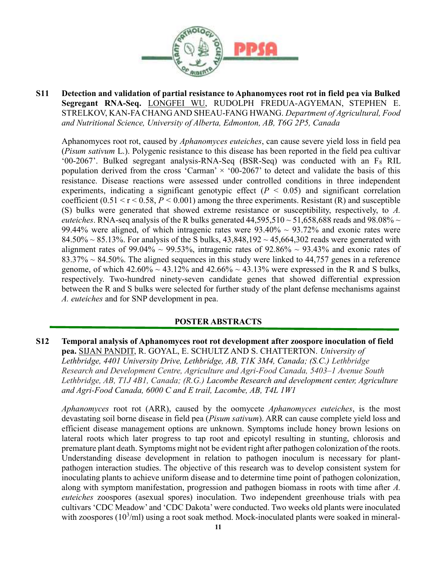

S11 Detection and validation of partial resistance to Aphanomyces root rot in field pea via Bulked Segregant RNA-Seq. LONGFEI WU, RUDOLPH FREDUA-AGYEMAN, STEPHEN E. STRELKOV, KAN-FA CHANG AND SHEAU-FANG HWANG. Department of Agricultural, Food and Nutritional Science, University of Alberta, Edmonton, AB, T6G 2P5, Canada

Aphanomyces root rot, caused by Aphanomyces euteiches, can cause severe yield loss in field pea (Pisum sativum L.). Polygenic resistance to this disease has been reported in the field pea cultivar '00-2067'. Bulked segregant analysis-RNA-Seq (BSR-Seq) was conducted with an F8 RIL population derived from the cross 'Carman'  $\times$  '00-2067' to detect and validate the basis of this resistance. Disease reactions were assessed under controlled conditions in three independent experiments, indicating a significant genotypic effect ( $P < 0.05$ ) and significant correlation coefficient  $(0.51 \le r \le 0.58, P \le 0.001)$  among the three experiments. Resistant (R) and susceptible (S) bulks were generated that showed extreme resistance or susceptibility, respectively, to A. euteiches. RNA-seq analysis of the R bulks generated  $44,595,510 \sim 51,658,688$  reads and 98.08%  $\sim$ 99.44% were aligned, of which intragenic rates were  $93.40\% \sim 93.72\%$  and exonic rates were  $84.50\% \sim 85.13\%$ . For analysis of the S bulks,  $43,848,192 \sim 45,664,302$  reads were generated with alignment rates of 99.04%  $\sim$  99.53%, intragenic rates of 92.86%  $\sim$  93.43% and exonic rates of  $83.37\% \sim 84.50\%$ . The aligned sequences in this study were linked to 44,757 genes in a reference genome, of which  $42.60\% \sim 43.12\%$  and  $42.66\% \sim 43.13\%$  were expressed in the R and S bulks, respectively. Two-hundred ninety-seven candidate genes that showed differential expression between the R and S bulks were selected for further study of the plant defense mechanisms against A. euteiches and for SNP development in pea.

#### POSTER ABSTRACTS

#### S12 Temporal analysis of Aphanomyces root rot development after zoospore inoculation of field pea. SIJAN PANDIT, R. GOYAL, E. SCHULTZ AND S. CHATTERTON. University of Lethbridge, 4401 University Drive, Lethbridge, AB, T1K 3M4, Canada; (S.C.) Lethbridge Research and Development Centre, Agriculture and Agri-Food Canada, 5403–1 Avenue South Lethbridge, AB, T1J 4B1, Canada; (R.G.) Lacombe Research and development center, Agriculture and Agri-Food Canada, 6000 C and E trail, Lacombe, AB, T4L 1W1

Aphanomyces root rot (ARR), caused by the oomycete Aphanomyces euteiches, is the most devastating soil borne disease in field pea (Pisum sativum). ARR can cause complete yield loss and efficient disease management options are unknown. Symptoms include honey brown lesions on lateral roots which later progress to tap root and epicotyl resulting in stunting, chlorosis and premature plant death. Symptoms might not be evident right after pathogen colonization of the roots. Understanding disease development in relation to pathogen inoculum is necessary for plantpathogen interaction studies. The objective of this research was to develop consistent system for inoculating plants to achieve uniform disease and to determine time point of pathogen colonization, along with symptom manifestation, progression and pathogen biomass in roots with time after A. euteiches zoospores (asexual spores) inoculation. Two independent greenhouse trials with pea cultivars 'CDC Meadow' and 'CDC Dakota' were conducted. Two weeks old plants were inoculated with zoospores  $(10^3\text{/ml})$  using a root soak method. Mock-inoculated plants were soaked in mineral-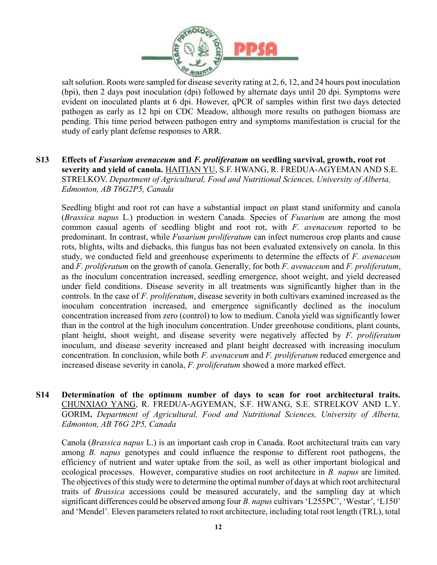

salt solution. Roots were sampled for disease severity rating at 2, 6, 12, and 24 hours post inoculation (hpi), then 2 days post inoculation (dpi) followed by alternate days until 20 dpi. Symptoms were evident on inoculated plants at 6 dpi. However, qPCR of samples within first two days detected pathogen as early as 12 hpi on CDC Meadow, although more results on pathogen biomass are pending. This time period between pathogen entry and symptoms manifestation is crucial for the study of early plant defense responses to ARR.

S13 Effects of Fusarium avenaceum and F. proliferatum on seedling survival, growth, root rot severity and yield of canola. HAITIAN YU, S.F. HWANG, R. FREDUA-AGYEMAN AND S.E. STRELKOV. Department of Agricultural, Food and Nutritional Sciences, University of Alberta, Edmonton, AB T6G2P5, Canada

Seedling blight and root rot can have a substantial impact on plant stand uniformity and canola (Brassica napus L.) production in western Canada. Species of Fusarium are among the most common casual agents of seedling blight and root rot, with  $F$ . *avenaceum* reported to be predominant. In contrast, while Fusarium proliferatum can infect numerous crop plants and cause rots, blights, wilts and diebacks, this fungus has not been evaluated extensively on canola. In this study, we conducted field and greenhouse experiments to determine the effects of  $F$ . avenaceum and F. proliferatum on the growth of canola. Generally, for both F. avenaceum and F. proliferatum, as the inoculum concentration increased, seedling emergence, shoot weight, and yield decreased under field conditions. Disease severity in all treatments was significantly higher than in the controls. In the case of F. proliferatum, disease severity in both cultivars examined increased as the inoculum concentration increased, and emergence significantly declined as the inoculum concentration increased from zero (control) to low to medium. Canola yield was significantly lower than in the control at the high inoculum concentration. Under greenhouse conditions, plant counts, plant height, shoot weight, and disease severity were negatively affected by  $F$ . proliferatum inoculum, and disease severity increased and plant height decreased with increasing inoculum concentration. In conclusion, while both F. avenaceum and F. proliferatum reduced emergence and increased disease severity in canola, F. proliferatum showed a more marked effect.

S14 Determination of the optimum number of days to scan for root architectural traits. CHUNXIAO YANG, R. FREDUA-AGYEMAN, S.F. HWANG, S.E. STRELKOV AND L.Y. GORIM. Department of Agricultural, Food and Nutritional Sciences, University of Alberta, Edmonton, AB T6G 2P5, Canada

Canola (Brassica napus L.) is an important cash crop in Canada. Root architectural traits can vary among B. napus genotypes and could influence the response to different root pathogens, the efficiency of nutrient and water uptake from the soil, as well as other important biological and ecological processes. However, comparative studies on root architecture in B. napus are limited. The objectives of this study were to determine the optimal number of days at which root architectural traits of Brassica accessions could be measured accurately, and the sampling day at which significant differences could be observed among four B. napus cultivars 'L255PC', 'Westar', 'L150' and 'Mendel'. Eleven parameters related to root architecture, including total root length (TRL), total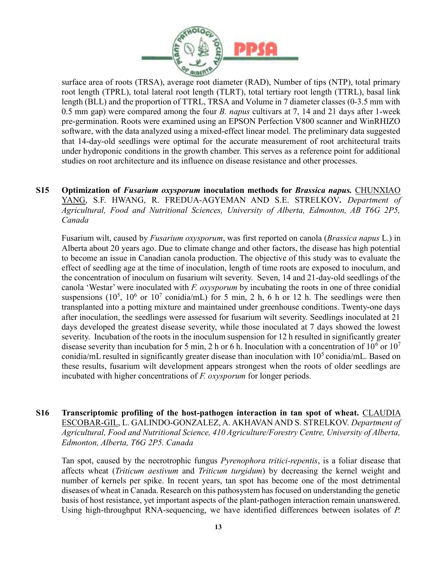

surface area of roots (TRSA), average root diameter (RAD), Number of tips (NTP), total primary root length (TPRL), total lateral root length (TLRT), total tertiary root length (TTRL), basal link length (BLL) and the proportion of TTRL, TRSA and Volume in 7 diameter classes (0-3.5 mm with 0.5 mm gap) were compared among the four *B. napus* cultivars at 7, 14 and 21 days after 1-week pre-germination. Roots were examined using an EPSON Perfection V800 scanner and WinRHIZO software, with the data analyzed using a mixed-effect linear model. The preliminary data suggested that 14-day-old seedlings were optimal for the accurate measurement of root architectural traits under hydroponic conditions in the growth chamber. This serves as a reference point for additional studies on root architecture and its influence on disease resistance and other processes.

S15 Optimization of *Fusarium oxysporum* inoculation methods for *Brassica napus*. CHUNXIAO YANG, S.F. HWANG, R. FREDUA-AGYEMAN AND S.E. STRELKOV. Department of Agricultural, Food and Nutritional Sciences, University of Alberta, Edmonton, AB T6G 2P5, Canada

Fusarium wilt, caused by Fusarium oxysporum, was first reported on canola (Brassica napus L.) in Alberta about 20 years ago. Due to climate change and other factors, the disease has high potential to become an issue in Canadian canola production. The objective of this study was to evaluate the effect of seedling age at the time of inoculation, length of time roots are exposed to inoculum, and the concentration of inoculum on fusarium wilt severity. Seven, 14 and 21-day-old seedlings of the canola 'Westar' were inoculated with F. oxysporum by incubating the roots in one of three conidial suspensions (10<sup>5</sup>, 10<sup>6</sup> or 10<sup>7</sup> conidia/mL) for 5 min, 2 h, 6 h or 12 h. The seedlings were then transplanted into a potting mixture and maintained under greenhouse conditions. Twenty-one days after inoculation, the seedlings were assessed for fusarium wilt severity. Seedlings inoculated at 21 days developed the greatest disease severity, while those inoculated at 7 days showed the lowest severity. Incubation of the roots in the inoculum suspension for 12 h resulted in significantly greater disease severity than incubation for 5 min, 2 h or 6 h. Inoculation with a concentration of  $10^6$  or  $10^7$ conidia/mL resulted in significantly greater disease than inoculation with  $10<sup>5</sup>$  conidia/mL. Based on these results, fusarium wilt development appears strongest when the roots of older seedlings are incubated with higher concentrations of *F. oxysporum* for longer periods.

S16 Transcriptomic profiling of the host-pathogen interaction in tan spot of wheat. CLAUDIA ESCOBAR-GIL, L. GALINDO-GONZALEZ, A. AKHAVAN AND S. STRELKOV. Department of Agricultural, Food and Nutritional Science, 410 Agriculture/Forestry Centre, University of Alberta, Edmonton, Alberta, T6G 2P5. Canada

Tan spot, caused by the necrotrophic fungus Pyrenophora tritici-repentis, is a foliar disease that affects wheat (Triticum aestivum and Triticum turgidum) by decreasing the kernel weight and number of kernels per spike. In recent years, tan spot has become one of the most detrimental diseases of wheat in Canada. Research on this pathosystem has focused on understanding the genetic basis of host resistance, yet important aspects of the plant-pathogen interaction remain unanswered. Using high-throughput RNA-sequencing, we have identified differences between isolates of P.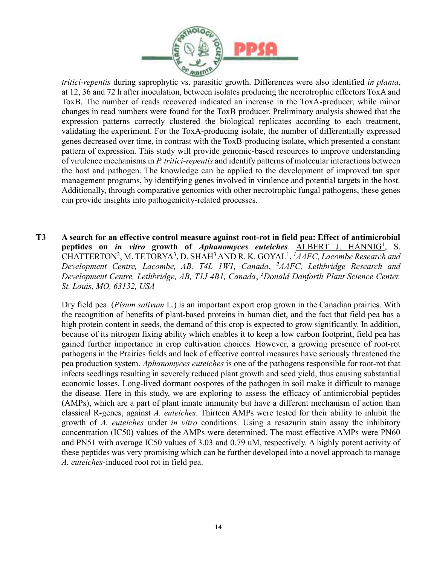

tritici-repentis during saprophytic vs. parasitic growth. Differences were also identified in planta, at 12, 36 and 72 h after inoculation, between isolates producing the necrotrophic effectors ToxA and ToxB. The number of reads recovered indicated an increase in the ToxA-producer, while minor changes in read numbers were found for the ToxB producer. Preliminary analysis showed that the expression patterns correctly clustered the biological replicates according to each treatment, validating the experiment. For the ToxA-producing isolate, the number of differentially expressed genes decreased over time, in contrast with the ToxB-producing isolate, which presented a constant pattern of expression. This study will provide genomic-based resources to improve understanding of virulence mechanisms in P. tritici-repentis and identify patterns of molecular interactions between the host and pathogen. The knowledge can be applied to the development of improved tan spot management programs, by identifying genes involved in virulence and potential targets in the host. Additionally, through comparative genomics with other necrotrophic fungal pathogens, these genes can provide insights into pathogenicity-related processes.

T3 A search for an effective control measure against root-rot in field pea: Effect of antimicrobial peptides on *in vitro* growth of *Aphanomyces euteiches*. **ALBERT J. HANNIG<sup>1</sup>, S.** CHATTERTON<sup>2</sup>, M. TETORYA<sup>3</sup>, D. SHAH<sup>3</sup> AND R. K. GOYAL<sup>1</sup>, <sup>1</sup>AAFC, Lacombe Research and Development Centre, Lacombe, AB, T4L 1W1, Canada, <sup>2</sup>AAFC, Lethbridge Research and Development Centre, Lethbridge, AB, T1J 4B1, Canada, <sup>3</sup>Donald Danforth Plant Science Center, St. Louis, MO, 63132, USA

Dry field pea (*Pisum sativum* L.) is an important export crop grown in the Canadian prairies. With the recognition of benefits of plant-based proteins in human diet, and the fact that field pea has a high protein content in seeds, the demand of this crop is expected to grow significantly. In addition, because of its nitrogen fixing ability which enables it to keep a low carbon footprint, field pea has gained further importance in crop cultivation choices. However, a growing presence of root-rot pathogens in the Prairies fields and lack of effective control measures have seriously threatened the pea production system. Aphanomyces euteiches is one of the pathogens responsible for root-rot that infects seedlings resulting in severely reduced plant growth and seed yield, thus causing substantial economic losses. Long-lived dormant oospores of the pathogen in soil make it difficult to manage the disease. Here in this study, we are exploring to assess the efficacy of antimicrobial peptides (AMPs), which are a part of plant innate immunity but have a different mechanism of action than classical R-genes, against A. euteiches. Thirteen AMPs were tested for their ability to inhibit the growth of A. euteiches under in vitro conditions. Using a resazurin stain assay the inhibitory concentration (IC50) values of the AMPs were determined. The most effective AMPs were PN60 and PN51 with average IC50 values of 3.03 and 0.79 uM, respectively. A highly potent activity of these peptides was very promising which can be further developed into a novel approach to manage A. euteiches-induced root rot in field pea.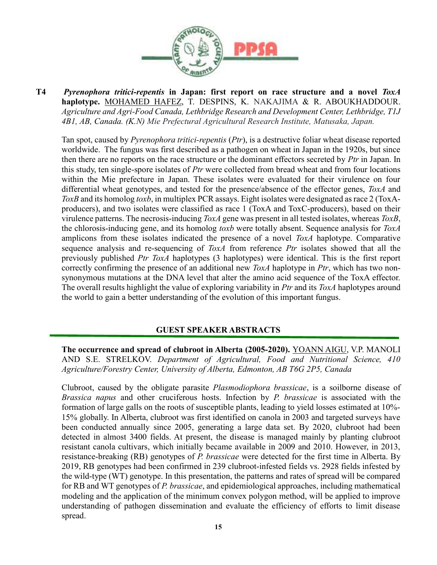

T4 Pyrenophora tritici-repentis in Japan: first report on race structure and a novel ToxA haplotype. MOHAMED HAFEZ, T. DESPINS, K. NAKAJIMA & R. ABOUKHADDOUR. Agriculture and Agri-Food Canada, Lethbridge Research and Development Center, Lethbridge, T1J 4B1, AB, Canada. (K.N) Mie Prefectural Agricultural Research Institute, Matusaka, Japan.

Tan spot, caused by Pyrenophora tritici-repentis (Ptr), is a destructive foliar wheat disease reported worldwide. The fungus was first described as a pathogen on wheat in Japan in the 1920s, but since then there are no reports on the race structure or the dominant effectors secreted by Ptr in Japan. In this study, ten single-spore isolates of Ptr were collected from bread wheat and from four locations within the Mie prefecture in Japan. These isolates were evaluated for their virulence on four differential wheat genotypes, and tested for the presence/absence of the effector genes, ToxA and ToxB and its homolog toxb, in multiplex PCR assays. Eight isolates were designated as race 2 (ToxAproducers), and two isolates were classified as race 1 (ToxA and ToxC-producers), based on their virulence patterns. The necrosis-inducing ToxA gene was present in all tested isolates, whereas ToxB, the chlorosis-inducing gene, and its homolog *toxb* were totally absent. Sequence analysis for  $ToxA$ amplicons from these isolates indicated the presence of a novel ToxA haplotype. Comparative sequence analysis and re-sequencing of ToxA from reference Ptr isolates showed that all the previously published Ptr ToxA haplotypes (3 haplotypes) were identical. This is the first report correctly confirming the presence of an additional new *ToxA* haplotype in *Ptr*, which has two nonsynonymous mutations at the DNA level that alter the amino acid sequence of the ToxA effector. The overall results highlight the value of exploring variability in Ptr and its ToxA haplotypes around the world to gain a better understanding of the evolution of this important fungus.

#### GUEST SPEAKER ABSTRACTS

The occurrence and spread of clubroot in Alberta (2005-2020). YOANN AIGU, V.P. MANOLI AND S.E. STRELKOV. Department of Agricultural, Food and Nutritional Science, 410 Agriculture/Forestry Center, University of Alberta, Edmonton, AB T6G 2P5, Canada

Clubroot, caused by the obligate parasite Plasmodiophora brassicae, is a soilborne disease of Brassica napus and other cruciferous hosts. Infection by P. brassicae is associated with the formation of large galls on the roots of susceptible plants, leading to yield losses estimated at 10%- 15% globally. In Alberta, clubroot was first identified on canola in 2003 and targeted surveys have been conducted annually since 2005, generating a large data set. By 2020, clubroot had been detected in almost 3400 fields. At present, the disease is managed mainly by planting clubroot resistant canola cultivars, which initially became available in 2009 and 2010. However, in 2013, resistance-breaking (RB) genotypes of P. brassicae were detected for the first time in Alberta. By 2019, RB genotypes had been confirmed in 239 clubroot-infested fields vs. 2928 fields infested by the wild-type (WT) genotype. In this presentation, the patterns and rates of spread will be compared for RB and WT genotypes of P. brassicae, and epidemiological approaches, including mathematical modeling and the application of the minimum convex polygon method, will be applied to improve understanding of pathogen dissemination and evaluate the efficiency of efforts to limit disease spread.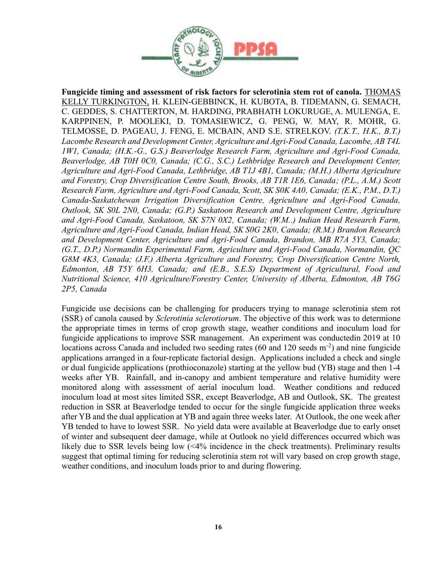

Fungicide timing and assessment of risk factors for sclerotinia stem rot of canola. THOMAS KELLY TURKINGTON, H. KLEIN-GEBBINCK, H. KUBOTA, B. TIDEMANN, G. SEMACH, C. GEDDES, S. CHATTERTON, M. HARDING, PRABHATH LOKURUGE, A. MULENGA, E. KARPPINEN, P. MOOLEKI, D. TOMASIEWICZ, G. PENG, W. MAY, R. MOHR, G. TELMOSSE, D. PAGEAU, J. FENG, E. MCBAIN, AND S.E. STRELKOV. (T.K.T., H.K., B.T.) Lacombe Research and Development Center, Agriculture and Agri-Food Canada, Lacombe, AB T4L 1W1, Canada; (H.K.-G., G.S.) Beaverlodge Research Farm, Agriculture and Agri-Food Canada, Beaverlodge, AB T0H 0C0, Canada; (C.G., S.C.) Lethbridge Research and Development Center, Agriculture and Agri-Food Canada, Lethbridge, AB T1J 4B1, Canada; (M.H.) Alberta Agriculture and Forestry, Crop Diversification Centre South, Brooks, AB T1R 1E6, Canada; (P.L., A.M.) Scott Research Farm, Agriculture and Agri-Food Canada, Scott, SK S0K 4A0, Canada; (E.K., P.M., D.T.) Canada-Saskatchewan Irrigation Diversification Centre, Agriculture and Agri-Food Canada, Outlook, SK S0L 2N0, Canada; (G.P.) Saskatoon Research and Development Centre, Agriculture and Agri-Food Canada, Saskatoon, SK S7N 0X2, Canada; (W.M..) Indian Head Research Farm, Agriculture and Agri-Food Canada, Indian Head, SK S0G 2K0, Canada; (R.M.) Brandon Research and Development Center, Agriculture and Agri-Food Canada, Brandon, MB R7A 5Y3, Canada; (G.T., D.P.) Normandin Experimental Farm, Agriculture and Agri-Food Canada, Normandin, QC G8M 4K3, Canada; (J.F.) Alberta Agriculture and Forestry, Crop Diversification Centre North, Edmonton, AB T5Y 6H3, Canada; and (E.B., S.E.S) Department of Agricultural, Food and Nutritional Science, 410 Agriculture/Forestry Center, University of Alberta, Edmonton, AB T6G 2P5, Canada

Fungicide use decisions can be challenging for producers trying to manage sclerotinia stem rot (SSR) of canola caused by Sclerotinia sclerotiorum. The objective of this work was to determione the appropriate times in terms of crop growth stage, weather conditions and inoculum load for fungicide applications to improve SSR management. An experiment was conductedin 2019 at 10 locations across Canada and included two seeding rates (60 and 120 seeds m<sup>-2</sup>) and nine fungicide applications arranged in a four-replicate factorial design. Applications included a check and single or dual fungicide applications (prothioconazole) starting at the yellow bud (YB) stage and then 1-4 weeks after YB. Rainfall, and in-canopy and ambient temperature and relative humidity were monitored along with assessment of aerial inoculum load. Weather conditions and reduced inoculum load at most sites limited SSR, except Beaverlodge, AB and Outlook, SK. The greatest reduction in SSR at Beaverlodge tended to occur for the single fungicide application three weeks after YB and the dual application at YB and again three weeks later. At Outlook, the one week after YB tended to have to lowest SSR. No yield data were available at Beaverlodge due to early onset of winter and subsequent deer damage, while at Outlook no yield differences occurred which was likely due to SSR levels being low (<4% incidence in the check treatments). Preliminary results suggest that optimal timing for reducing sclerotinia stem rot will vary based on crop growth stage, weather conditions, and inoculum loads prior to and during flowering.